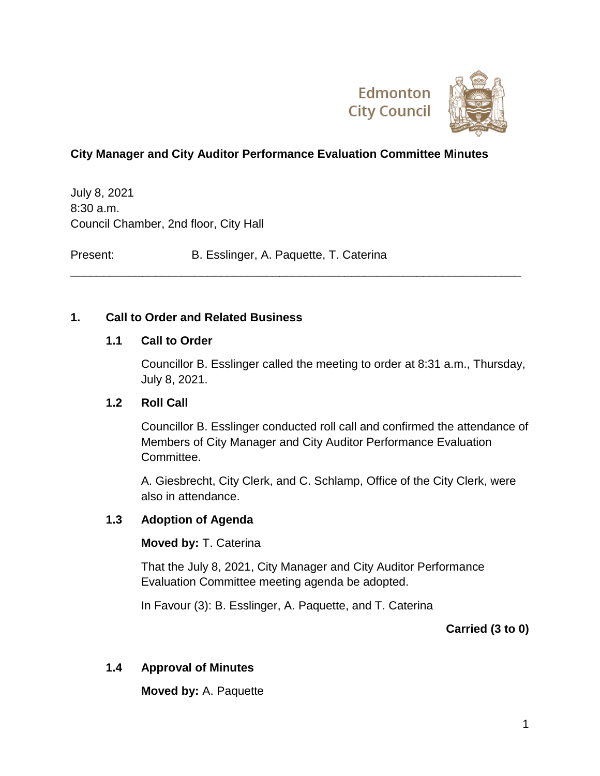

### **City Manager and City Auditor Performance Evaluation Committee Minutes**

\_\_\_\_\_\_\_\_\_\_\_\_\_\_\_\_\_\_\_\_\_\_\_\_\_\_\_\_\_\_\_\_\_\_\_\_\_\_\_\_\_\_\_\_\_\_\_\_\_\_\_\_\_\_\_\_\_\_\_\_\_\_\_\_\_\_\_\_\_

July 8, 2021 8:30 a.m. Council Chamber, 2nd floor, City Hall

Present: B. Esslinger, A. Paquette, T. Caterina

#### **1. Call to Order and Related Business**

#### **1.1 Call to Order**

Councillor B. Esslinger called the meeting to order at 8:31 a.m., Thursday, July 8, 2021.

#### **1.2 Roll Call**

Councillor B. Esslinger conducted roll call and confirmed the attendance of Members of City Manager and City Auditor Performance Evaluation Committee.

A. Giesbrecht, City Clerk, and C. Schlamp, Office of the City Clerk, were also in attendance.

#### **1.3 Adoption of Agenda**

#### **Moved by:** T. Caterina

That the July 8, 2021, City Manager and City Auditor Performance Evaluation Committee meeting agenda be adopted.

In Favour (3): B. Esslinger, A. Paquette, and T. Caterina

**Carried (3 to 0)**

#### **1.4 Approval of Minutes**

**Moved by:** A. Paquette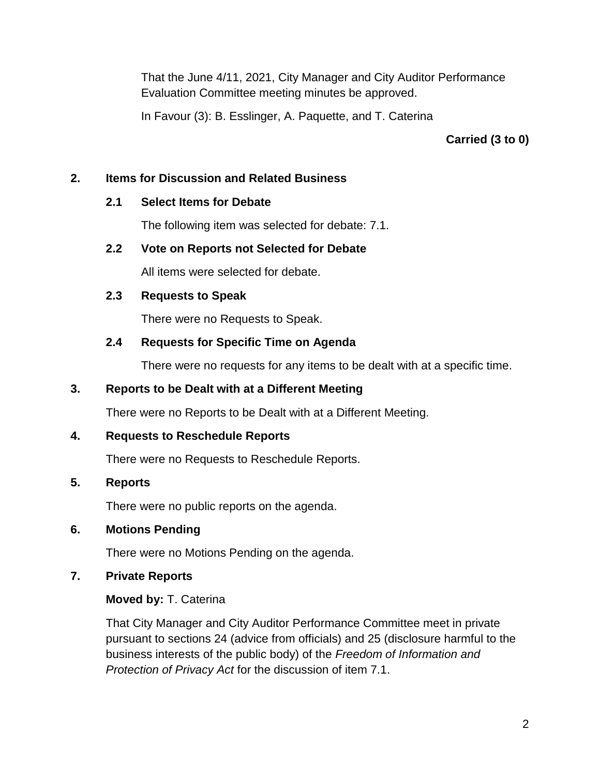That the June 4/11, 2021, City Manager and City Auditor Performance Evaluation Committee meeting minutes be approved.

In Favour (3): B. Esslinger, A. Paquette, and T. Caterina

**Carried (3 to 0)**

### **2. Items for Discussion and Related Business**

### **2.1 Select Items for Debate**

The following item was selected for debate: 7.1.

## **2.2 Vote on Reports not Selected for Debate**

All items were selected for debate.

## **2.3 Requests to Speak**

There were no Requests to Speak.

# **2.4 Requests for Specific Time on Agenda**

There were no requests for any items to be dealt with at a specific time.

## **3. Reports to be Dealt with at a Different Meeting**

There were no Reports to be Dealt with at a Different Meeting.

# **4. Requests to Reschedule Reports**

There were no Requests to Reschedule Reports.

# **5. Reports**

There were no public reports on the agenda.

# **6. Motions Pending**

There were no Motions Pending on the agenda.

# **7. Private Reports**

# **Moved by:** T. Caterina

That City Manager and City Auditor Performance Committee meet in private pursuant to sections 24 (advice from officials) and 25 (disclosure harmful to the business interests of the public body) of the *Freedom of Information and Protection of Privacy Act* for the discussion of item 7.1.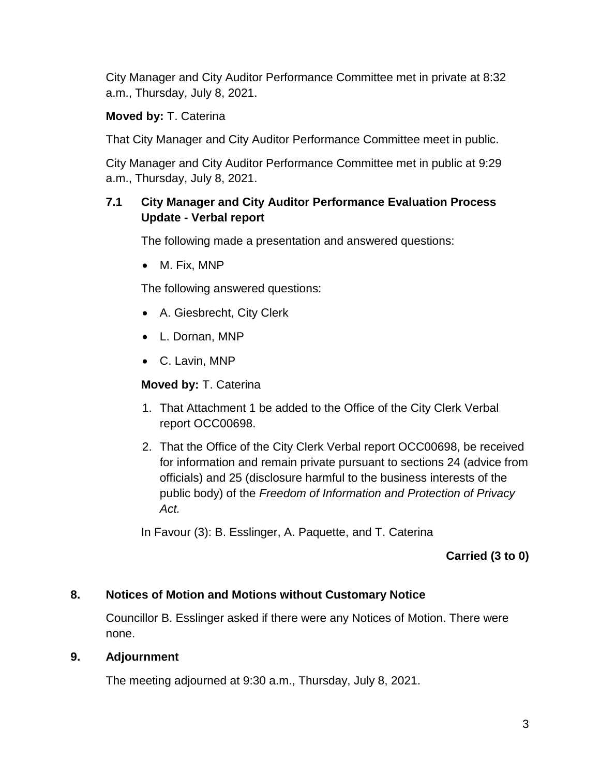City Manager and City Auditor Performance Committee met in private at 8:32 a.m., Thursday, July 8, 2021.

# **Moved by:** T. Caterina

That City Manager and City Auditor Performance Committee meet in public.

City Manager and City Auditor Performance Committee met in public at 9:29 a.m., Thursday, July 8, 2021.

## **7.1 City Manager and City Auditor Performance Evaluation Process Update - Verbal report**

The following made a presentation and answered questions:

M. Fix, MNP

The following answered questions:

- A. Giesbrecht, City Clerk
- L. Dornan, MNP
- C. Lavin, MNP

#### **Moved by:** T. Caterina

- 1. That Attachment 1 be added to the Office of the City Clerk Verbal report OCC00698.
- 2. That the Office of the City Clerk Verbal report OCC00698, be received for information and remain private pursuant to sections 24 (advice from officials) and 25 (disclosure harmful to the business interests of the public body) of the *Freedom of Information and Protection of Privacy Act.*

In Favour (3): B. Esslinger, A. Paquette, and T. Caterina

### **Carried (3 to 0)**

### **8. Notices of Motion and Motions without Customary Notice**

Councillor B. Esslinger asked if there were any Notices of Motion. There were none.

### **9. Adjournment**

The meeting adjourned at 9:30 a.m., Thursday, July 8, 2021.